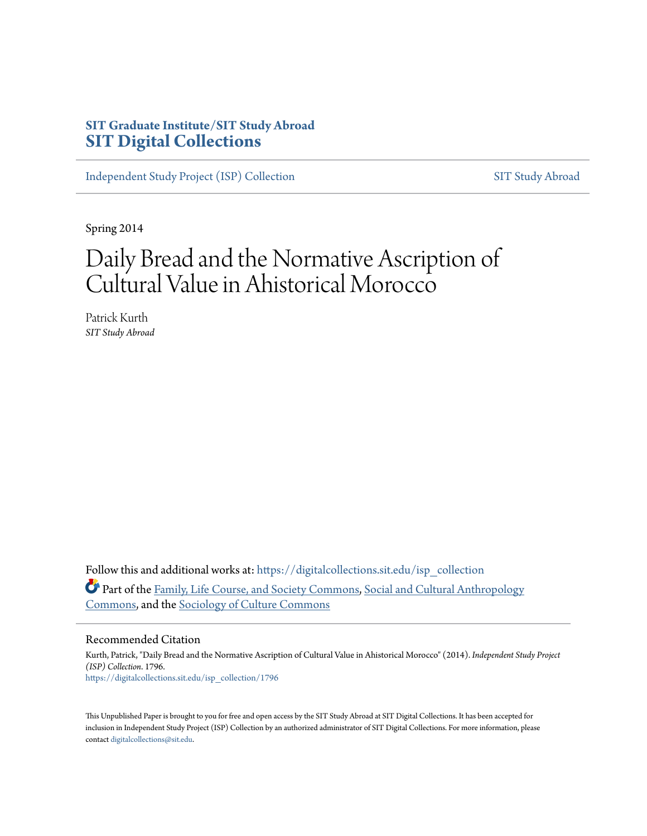# **SIT Graduate Institute/SIT Study Abroad [SIT Digital Collections](https://digitalcollections.sit.edu?utm_source=digitalcollections.sit.edu%2Fisp_collection%2F1796&utm_medium=PDF&utm_campaign=PDFCoverPages)**

[Independent Study Project \(ISP\) Collection](https://digitalcollections.sit.edu/isp_collection?utm_source=digitalcollections.sit.edu%2Fisp_collection%2F1796&utm_medium=PDF&utm_campaign=PDFCoverPages) [SIT Study Abroad](https://digitalcollections.sit.edu/study_abroad?utm_source=digitalcollections.sit.edu%2Fisp_collection%2F1796&utm_medium=PDF&utm_campaign=PDFCoverPages)

Spring 2014

# Daily Bread and the Normative Ascription of Cultural Value in Ahistorical Morocco

Patrick Kurth *SIT Study Abroad*

Follow this and additional works at: [https://digitalcollections.sit.edu/isp\\_collection](https://digitalcollections.sit.edu/isp_collection?utm_source=digitalcollections.sit.edu%2Fisp_collection%2F1796&utm_medium=PDF&utm_campaign=PDFCoverPages) Part of the [Family, Life Course, and Society Commons](http://network.bepress.com/hgg/discipline/419?utm_source=digitalcollections.sit.edu%2Fisp_collection%2F1796&utm_medium=PDF&utm_campaign=PDFCoverPages), [Social and Cultural Anthropology](http://network.bepress.com/hgg/discipline/323?utm_source=digitalcollections.sit.edu%2Fisp_collection%2F1796&utm_medium=PDF&utm_campaign=PDFCoverPages) [Commons,](http://network.bepress.com/hgg/discipline/323?utm_source=digitalcollections.sit.edu%2Fisp_collection%2F1796&utm_medium=PDF&utm_campaign=PDFCoverPages) and the [Sociology of Culture Commons](http://network.bepress.com/hgg/discipline/431?utm_source=digitalcollections.sit.edu%2Fisp_collection%2F1796&utm_medium=PDF&utm_campaign=PDFCoverPages)

#### Recommended Citation

Kurth, Patrick, "Daily Bread and the Normative Ascription of Cultural Value in Ahistorical Morocco" (2014). *Independent Study Project (ISP) Collection*. 1796. [https://digitalcollections.sit.edu/isp\\_collection/1796](https://digitalcollections.sit.edu/isp_collection/1796?utm_source=digitalcollections.sit.edu%2Fisp_collection%2F1796&utm_medium=PDF&utm_campaign=PDFCoverPages)

This Unpublished Paper is brought to you for free and open access by the SIT Study Abroad at SIT Digital Collections. It has been accepted for inclusion in Independent Study Project (ISP) Collection by an authorized administrator of SIT Digital Collections. For more information, please contact [digitalcollections@sit.edu](mailto:digitalcollections@sit.edu).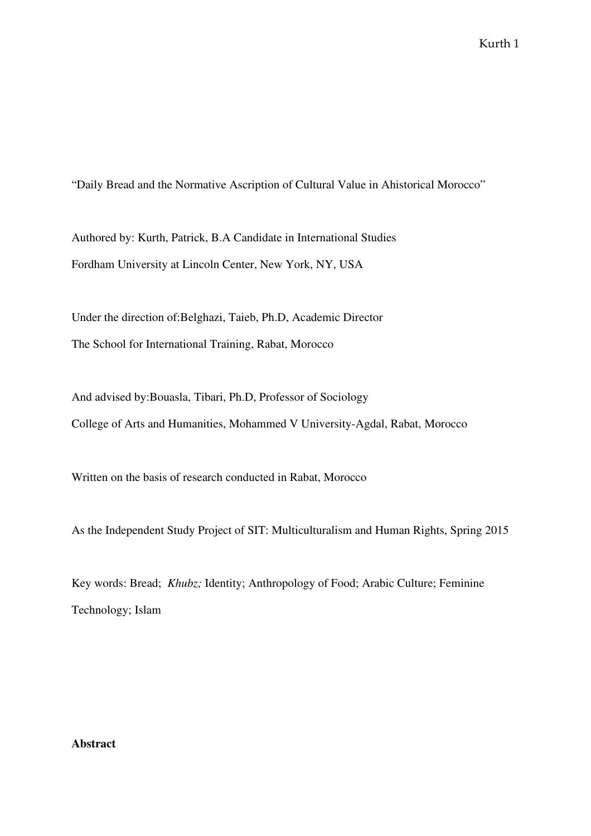"Daily Bread and the Normative Ascription of Cultural Value in Ahistorical Morocco"

Authored by: Kurth, Patrick, B.A Candidate in International Studies Fordham University at Lincoln Center, New York, NY, USA

Under the direction of:Belghazi, Taieb, Ph.D, Academic Director The School for International Training, Rabat, Morocco

And advised by:Bouasla, Tibari, Ph.D, Professor of Sociology College of Arts and Humanities, Mohammed V University-Agdal, Rabat, Morocco

Written on the basis of research conducted in Rabat, Morocco

As the Independent Study Project of SIT: Multiculturalism and Human Rights, Spring 2015

Key words: Bread; *Khubz;* Identity; Anthropology of Food; Arabic Culture; Feminine Technology; Islam

## **Abstract**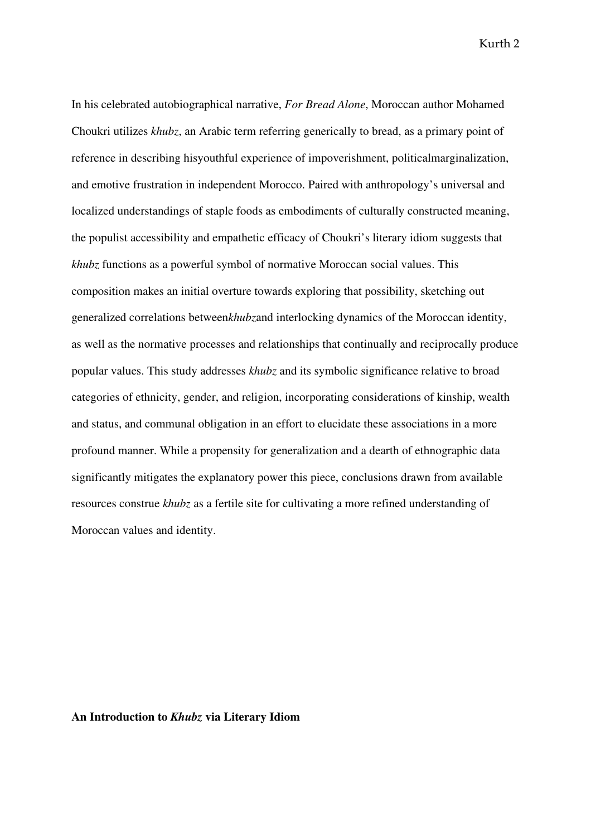In his celebrated autobiographical narrative, *For Bread Alone*, Moroccan author Mohamed Choukri utilizes *khubz*, an Arabic term referring generically to bread, as a primary point of reference in describing hisyouthful experience of impoverishment, politicalmarginalization, and emotive frustration in independent Morocco. Paired with anthropology's universal and localized understandings of staple foods as embodiments of culturally constructed meaning, the populist accessibility and empathetic efficacy of Choukri's literary idiom suggests that *khubz* functions as a powerful symbol of normative Moroccan social values. This composition makes an initial overture towards exploring that possibility, sketching out generalized correlations between*khubz*and interlocking dynamics of the Moroccan identity, as well as the normative processes and relationships that continually and reciprocally produce popular values. This study addresses *khubz* and its symbolic significance relative to broad categories of ethnicity, gender, and religion, incorporating considerations of kinship, wealth and status, and communal obligation in an effort to elucidate these associations in a more profound manner. While a propensity for generalization and a dearth of ethnographic data significantly mitigates the explanatory power this piece, conclusions drawn from available resources construe *khubz* as a fertile site for cultivating a more refined understanding of Moroccan values and identity.

#### **An Introduction to** *Khubz* **via Literary Idiom**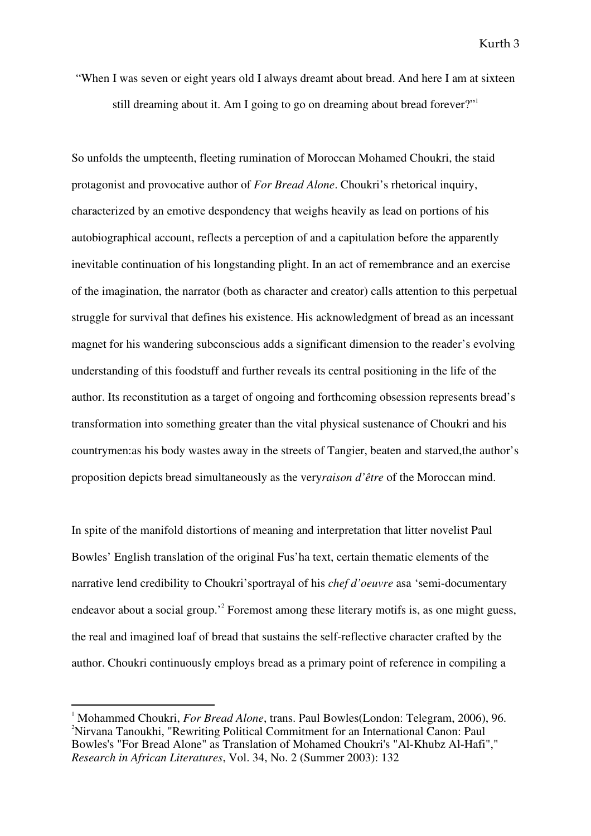"When I was seven or eight years old I always dreamt about bread. And here I am at sixteen still dreaming about it. Am I going to go on dreaming about bread forever?"<sup>1</sup>

So unfolds the umpteenth, fleeting rumination of Moroccan Mohamed Choukri, the staid protagonist and provocative author of *For Bread Alone*. Choukri's rhetorical inquiry, characterized by an emotive despondency that weighs heavily as lead on portions of his autobiographical account, reflects a perception of and a capitulation before the apparently inevitable continuation of his longstanding plight. In an act of remembrance and an exercise of the imagination, the narrator (both as character and creator) calls attention to this perpetual struggle for survival that defines his existence. His acknowledgment of bread as an incessant magnet for his wandering subconscious adds a significant dimension to the reader's evolving understanding of this foodstuff and further reveals its central positioning in the life of the author. Its reconstitution as a target of ongoing and forthcoming obsession represents bread's transformation into something greater than the vital physical sustenance of Choukri and his countrymen:as his body wastes away in the streets of Tangier, beaten and starved,the author's proposition depicts bread simultaneously as the very*raison d'être* of the Moroccan mind.

In spite of the manifold distortions of meaning and interpretation that litter novelist Paul Bowles' English translation of the original Fus'ha text, certain thematic elements of the narrative lend credibility to Choukri'sportrayal of his *chef d'oeuvre* asa 'semi-documentary endeavor about a social group.<sup>2</sup> Foremost among these literary motifs is, as one might guess, the real and imagined loaf of bread that sustains the self-reflective character crafted by the author. Choukri continuously employs bread as a primary point of reference in compiling a

<sup>&</sup>lt;sup>1</sup> Mohammed Choukri, *For Bread Alone*, trans. Paul Bowles(London: Telegram, 2006), 96. <sup>2</sup>Nirvana Tanoukhi, "Rewriting Political Commitment for an International Canon: Paul Bowles's "For Bread Alone" as Translation of Mohamed Choukri's "Al-Khubz Al-Hafi"," *Research in African Literatures*, Vol. 34, No. 2 (Summer 2003): 132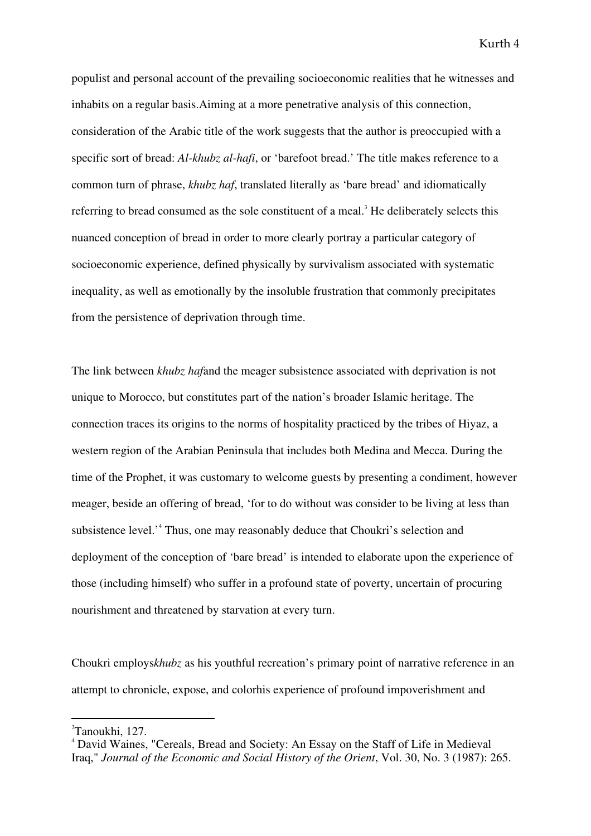populist and personal account of the prevailing socioeconomic realities that he witnesses and inhabits on a regular basis.Aiming at a more penetrative analysis of this connection, consideration of the Arabic title of the work suggests that the author is preoccupied with a specific sort of bread: *Al-khubz al-hafi*, or 'barefoot bread.' The title makes reference to a common turn of phrase, *khubz haf*, translated literally as 'bare bread' and idiomatically referring to bread consumed as the sole constituent of a meal.<sup>3</sup> He deliberately selects this nuanced conception of bread in order to more clearly portray a particular category of socioeconomic experience, defined physically by survivalism associated with systematic inequality, as well as emotionally by the insoluble frustration that commonly precipitates from the persistence of deprivation through time.

The link between *khubz haf*and the meager subsistence associated with deprivation is not unique to Morocco, but constitutes part of the nation's broader Islamic heritage. The connection traces its origins to the norms of hospitality practiced by the tribes of Hiyaz, a western region of the Arabian Peninsula that includes both Medina and Mecca. During the time of the Prophet, it was customary to welcome guests by presenting a condiment, however meager, beside an offering of bread, 'for to do without was consider to be living at less than subsistence level.<sup>4</sup> Thus, one may reasonably deduce that Choukri's selection and deployment of the conception of 'bare bread' is intended to elaborate upon the experience of those (including himself) who suffer in a profound state of poverty, uncertain of procuring nourishment and threatened by starvation at every turn.

Choukri employs*khubz* as his youthful recreation's primary point of narrative reference in an attempt to chronicle, expose, and colorhis experience of profound impoverishment and

<sup>3</sup> Tanoukhi, 127.

<sup>&</sup>lt;sup>4</sup> David Waines, "Cereals, Bread and Society: An Essay on the Staff of Life in Medieval Iraq," *Journal of the Economic and Social History of the Orient*, Vol. 30, No. 3 (1987): 265.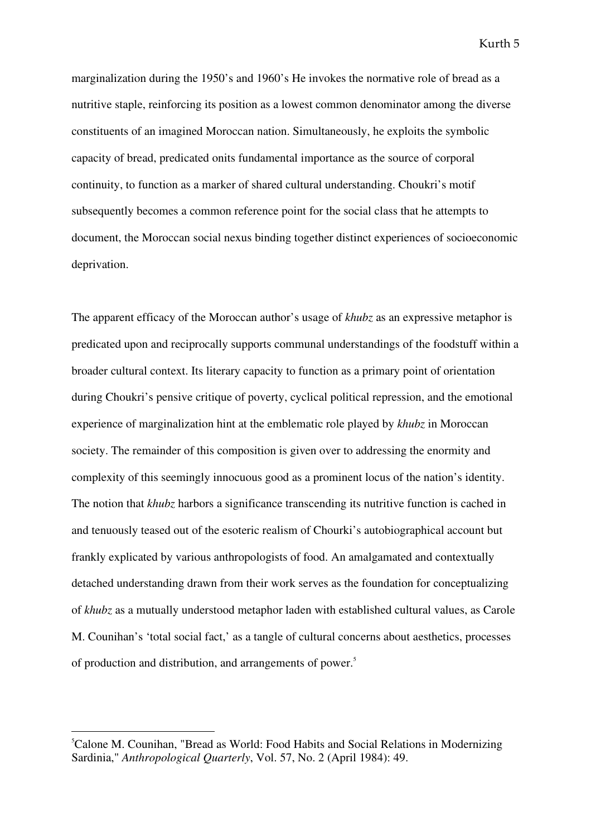marginalization during the 1950's and 1960's He invokes the normative role of bread as a nutritive staple, reinforcing its position as a lowest common denominator among the diverse constituents of an imagined Moroccan nation. Simultaneously, he exploits the symbolic capacity of bread, predicated onits fundamental importance as the source of corporal continuity, to function as a marker of shared cultural understanding. Choukri's motif subsequently becomes a common reference point for the social class that he attempts to document, the Moroccan social nexus binding together distinct experiences of socioeconomic deprivation.

The apparent efficacy of the Moroccan author's usage of *khubz* as an expressive metaphor is predicated upon and reciprocally supports communal understandings of the foodstuff within a broader cultural context. Its literary capacity to function as a primary point of orientation during Choukri's pensive critique of poverty, cyclical political repression, and the emotional experience of marginalization hint at the emblematic role played by *khubz* in Moroccan society. The remainder of this composition is given over to addressing the enormity and complexity of this seemingly innocuous good as a prominent locus of the nation's identity. The notion that *khubz* harbors a significance transcending its nutritive function is cached in and tenuously teased out of the esoteric realism of Chourki's autobiographical account but frankly explicated by various anthropologists of food. An amalgamated and contextually detached understanding drawn from their work serves as the foundation for conceptualizing of *khubz* as a mutually understood metaphor laden with established cultural values, as Carole M. Counihan's 'total social fact,' as a tangle of cultural concerns about aesthetics, processes of production and distribution, and arrangements of power.<sup>5</sup>

<sup>5</sup>Calone M. Counihan, "Bread as World: Food Habits and Social Relations in Modernizing Sardinia," *Anthropological Quarterly*, Vol. 57, No. 2 (April 1984): 49.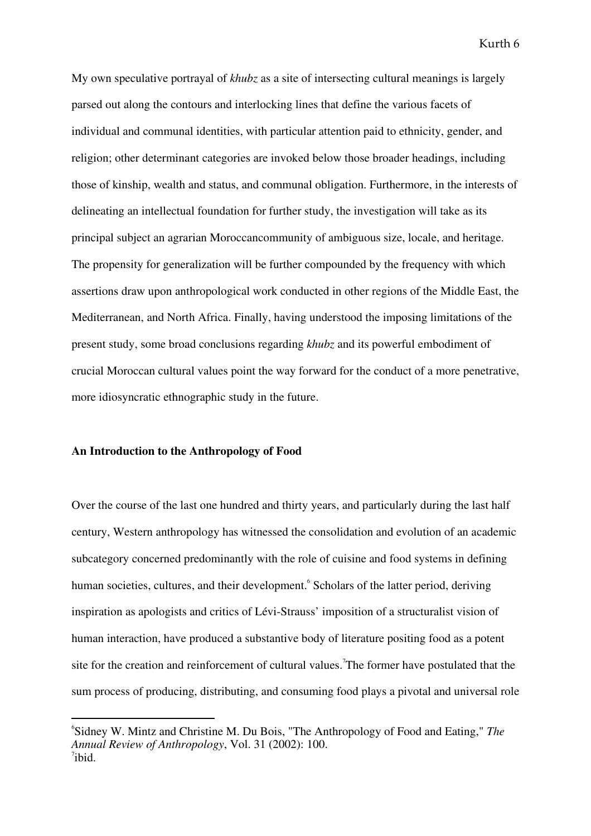My own speculative portrayal of *khubz* as a site of intersecting cultural meanings is largely parsed out along the contours and interlocking lines that define the various facets of individual and communal identities, with particular attention paid to ethnicity, gender, and religion; other determinant categories are invoked below those broader headings, including those of kinship, wealth and status, and communal obligation. Furthermore, in the interests of delineating an intellectual foundation for further study, the investigation will take as its principal subject an agrarian Moroccancommunity of ambiguous size, locale, and heritage. The propensity for generalization will be further compounded by the frequency with which assertions draw upon anthropological work conducted in other regions of the Middle East, the Mediterranean, and North Africa. Finally, having understood the imposing limitations of the present study, some broad conclusions regarding *khubz* and its powerful embodiment of crucial Moroccan cultural values point the way forward for the conduct of a more penetrative, more idiosyncratic ethnographic study in the future.

## **An Introduction to the Anthropology of Food**

l.

Over the course of the last one hundred and thirty years, and particularly during the last half century, Western anthropology has witnessed the consolidation and evolution of an academic subcategory concerned predominantly with the role of cuisine and food systems in defining human societies, cultures, and their development. <sup>6</sup> Scholars of the latter period, deriving inspiration as apologists and critics of Lévi-Strauss' imposition of a structuralist vision of human interaction, have produced a substantive body of literature positing food as a potent site for the creation and reinforcement of cultural values.<sup>7</sup>The former have postulated that the sum process of producing, distributing, and consuming food plays a pivotal and universal role

<sup>6</sup> Sidney W. Mintz and Christine M. Du Bois, "The Anthropology of Food and Eating," *The Annual Review of Anthropology*, Vol. 31 (2002): 100.  $i$ <sub>ibid.</sub>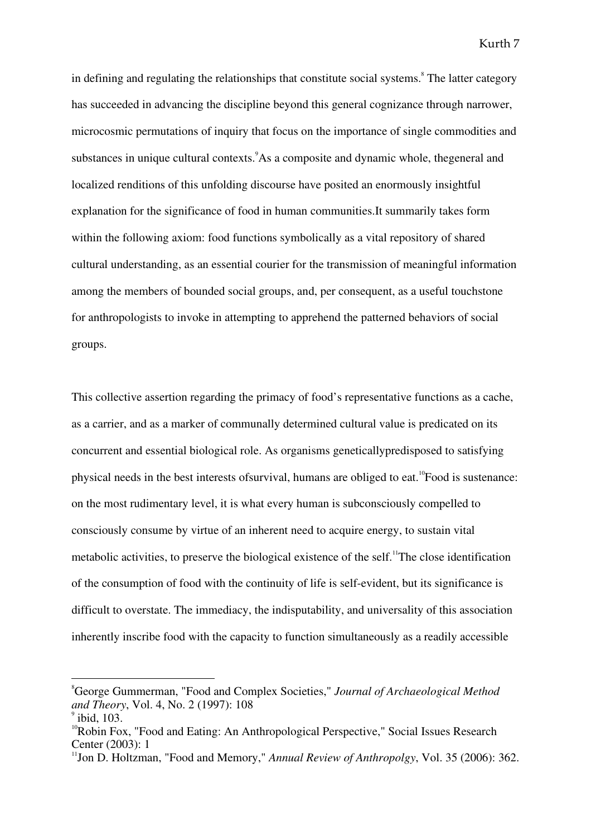in defining and regulating the relationships that constitute social systems. $\degree$  The latter category has succeeded in advancing the discipline beyond this general cognizance through narrower, microcosmic permutations of inquiry that focus on the importance of single commodities and substances in unique cultural contexts.<sup>9</sup>As a composite and dynamic whole, thegeneral and localized renditions of this unfolding discourse have posited an enormously insightful explanation for the significance of food in human communities.It summarily takes form within the following axiom: food functions symbolically as a vital repository of shared cultural understanding, as an essential courier for the transmission of meaningful information among the members of bounded social groups, and, per consequent, as a useful touchstone for anthropologists to invoke in attempting to apprehend the patterned behaviors of social groups.

This collective assertion regarding the primacy of food's representative functions as a cache, as a carrier, and as a marker of communally determined cultural value is predicated on its concurrent and essential biological role. As organisms geneticallypredisposed to satisfying physical needs in the best interests of survival, humans are obliged to eat.<sup>10</sup>Food is sustenance: on the most rudimentary level, it is what every human is subconsciously compelled to consciously consume by virtue of an inherent need to acquire energy, to sustain vital metabolic activities, to preserve the biological existence of the self.<sup>11</sup>The close identification of the consumption of food with the continuity of life is self-evident, but its significance is difficult to overstate. The immediacy, the indisputability, and universality of this association inherently inscribe food with the capacity to function simultaneously as a readily accessible

<sup>8</sup>George Gummerman, "Food and Complex Societies," *Journal of Archaeological Method and Theory*, Vol. 4, No. 2 (1997): 108

 $<sup>9</sup>$  ibid, 103.</sup>

 $10R$ Obin Fox, "Food and Eating: An Anthropological Perspective," Social Issues Research Center (2003): 1

<sup>11</sup>Jon D. Holtzman, "Food and Memory," *Annual Review of Anthropolgy*, Vol. 35 (2006): 362.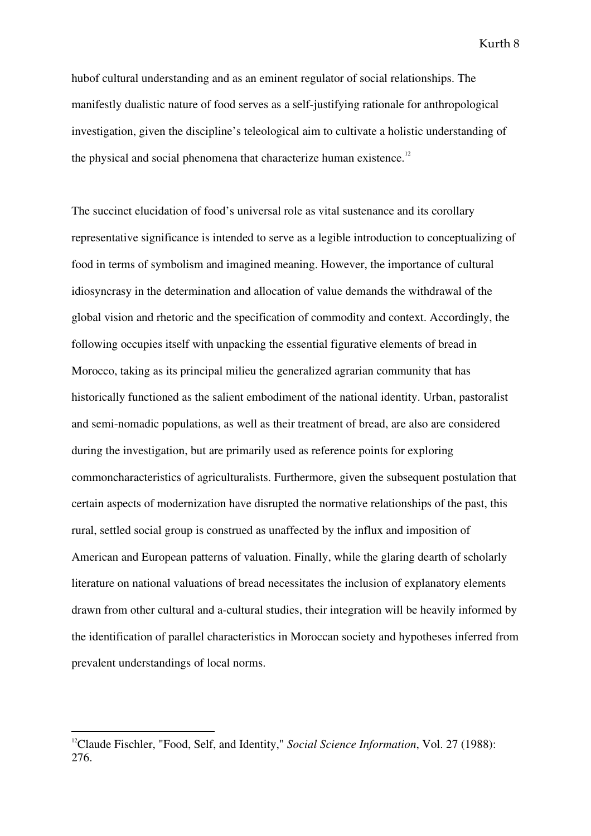hubof cultural understanding and as an eminent regulator of social relationships. The manifestly dualistic nature of food serves as a self-justifying rationale for anthropological investigation, given the discipline's teleological aim to cultivate a holistic understanding of the physical and social phenomena that characterize human existence.<sup>12</sup>

The succinct elucidation of food's universal role as vital sustenance and its corollary representative significance is intended to serve as a legible introduction to conceptualizing of food in terms of symbolism and imagined meaning. However, the importance of cultural idiosyncrasy in the determination and allocation of value demands the withdrawal of the global vision and rhetoric and the specification of commodity and context. Accordingly, the following occupies itself with unpacking the essential figurative elements of bread in Morocco, taking as its principal milieu the generalized agrarian community that has historically functioned as the salient embodiment of the national identity. Urban, pastoralist and semi-nomadic populations, as well as their treatment of bread, are also are considered during the investigation, but are primarily used as reference points for exploring commoncharacteristics of agriculturalists. Furthermore, given the subsequent postulation that certain aspects of modernization have disrupted the normative relationships of the past, this rural, settled social group is construed as unaffected by the influx and imposition of American and European patterns of valuation. Finally, while the glaring dearth of scholarly literature on national valuations of bread necessitates the inclusion of explanatory elements drawn from other cultural and a-cultural studies, their integration will be heavily informed by the identification of parallel characteristics in Moroccan society and hypotheses inferred from prevalent understandings of local norms.

<sup>&</sup>lt;sup>12</sup>Claude Fischler, "Food, Self, and Identity," *Social Science Information*, Vol. 27 (1988): 276.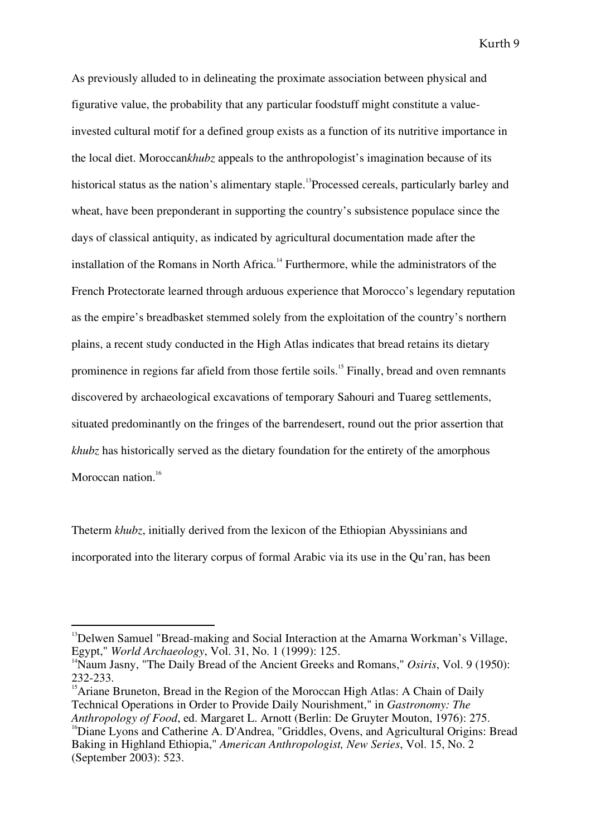As previously alluded to in delineating the proximate association between physical and figurative value, the probability that any particular foodstuff might constitute a valueinvested cultural motif for a defined group exists as a function of its nutritive importance in the local diet. Moroccan*khubz* appeals to the anthropologist's imagination because of its historical status as the nation's alimentary staple.<sup>13</sup>Processed cereals, particularly barley and wheat, have been preponderant in supporting the country's subsistence populace since the days of classical antiquity, as indicated by agricultural documentation made after the installation of the Romans in North Africa.<sup>14</sup> Furthermore, while the administrators of the French Protectorate learned through arduous experience that Morocco's legendary reputation as the empire's breadbasket stemmed solely from the exploitation of the country's northern plains, a recent study conducted in the High Atlas indicates that bread retains its dietary prominence in regions far afield from those fertile soils.<sup>15</sup> Finally, bread and oven remnants discovered by archaeological excavations of temporary Sahouri and Tuareg settlements, situated predominantly on the fringes of the barrendesert, round out the prior assertion that *khubz* has historically served as the dietary foundation for the entirety of the amorphous Moroccan nation.<sup>16</sup>

Theterm *khubz*, initially derived from the lexicon of the Ethiopian Abyssinians and incorporated into the literary corpus of formal Arabic via its use in the Qu'ran, has been

<sup>&</sup>lt;sup>13</sup>Delwen Samuel "Bread-making and Social Interaction at the Amarna Workman's Village, Egypt," *World Archaeology*, Vol. 31, No. 1 (1999): 125.

<sup>&</sup>lt;sup>14</sup>Naum Jasny, "The Daily Bread of the Ancient Greeks and Romans," *Osiris*, Vol. 9 (1950): 232-233.

<sup>&</sup>lt;sup>15</sup>Ariane Bruneton, Bread in the Region of the Moroccan High Atlas: A Chain of Daily Technical Operations in Order to Provide Daily Nourishment," in *Gastronomy: The Anthropology of Food*, ed. Margaret L. Arnott (Berlin: De Gruyter Mouton, 1976): 275. <sup>16</sup>Diane Lyons and Catherine A. D'Andrea, "Griddles, Ovens, and Agricultural Origins: Bread

Baking in Highland Ethiopia," *American Anthropologist, New Series*, Vol. 15, No. 2 (September 2003): 523.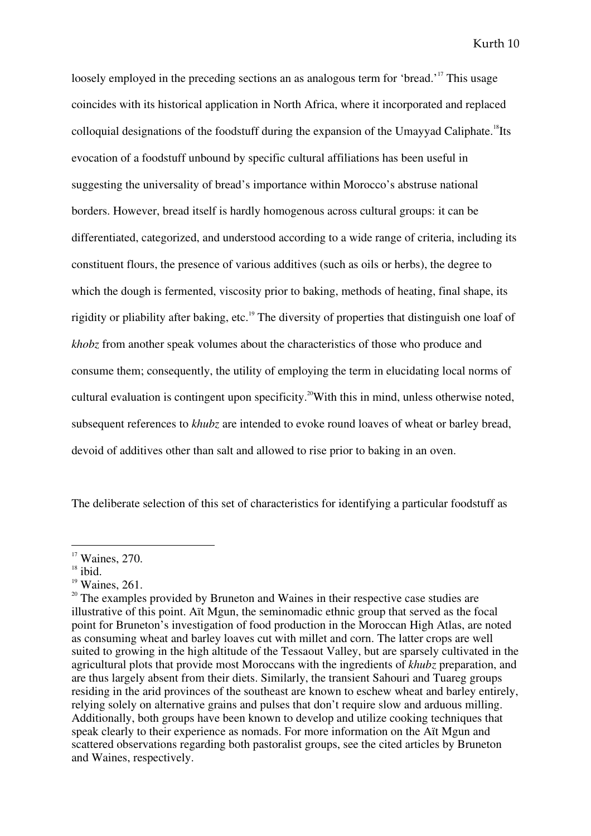loosely employed in the preceding sections an as analogous term for 'bread.'<sup>17</sup> This usage coincides with its historical application in North Africa, where it incorporated and replaced colloquial designations of the foodstuff during the expansion of the Umayyad Caliphate.<sup>18</sup>Its evocation of a foodstuff unbound by specific cultural affiliations has been useful in suggesting the universality of bread's importance within Morocco's abstruse national borders. However, bread itself is hardly homogenous across cultural groups: it can be differentiated, categorized, and understood according to a wide range of criteria, including its constituent flours, the presence of various additives (such as oils or herbs), the degree to which the dough is fermented, viscosity prior to baking, methods of heating, final shape, its rigidity or pliability after baking, etc.<sup>19</sup> The diversity of properties that distinguish one loaf of *khobz* from another speak volumes about the characteristics of those who produce and consume them; consequently, the utility of employing the term in elucidating local norms of cultural evaluation is contingent upon specificity.<sup>20</sup>With this in mind, unless otherwise noted, subsequent references to *khubz* are intended to evoke round loaves of wheat or barley bread, devoid of additives other than salt and allowed to rise prior to baking in an oven.

The deliberate selection of this set of characteristics for identifying a particular foodstuff as

l.

 $19$  Waines, 261.

 $17$  Waines, 270.

 $18$  ibid.

<sup>&</sup>lt;sup>20</sup> The examples provided by Bruneton and Waines in their respective case studies are illustrative of this point. Aït Mgun, the seminomadic ethnic group that served as the focal point for Bruneton's investigation of food production in the Moroccan High Atlas, are noted as consuming wheat and barley loaves cut with millet and corn. The latter crops are well suited to growing in the high altitude of the Tessaout Valley, but are sparsely cultivated in the agricultural plots that provide most Moroccans with the ingredients of *khubz* preparation, and are thus largely absent from their diets. Similarly, the transient Sahouri and Tuareg groups residing in the arid provinces of the southeast are known to eschew wheat and barley entirely, relying solely on alternative grains and pulses that don't require slow and arduous milling. Additionally, both groups have been known to develop and utilize cooking techniques that speak clearly to their experience as nomads. For more information on the Aït Mgun and scattered observations regarding both pastoralist groups, see the cited articles by Bruneton and Waines, respectively.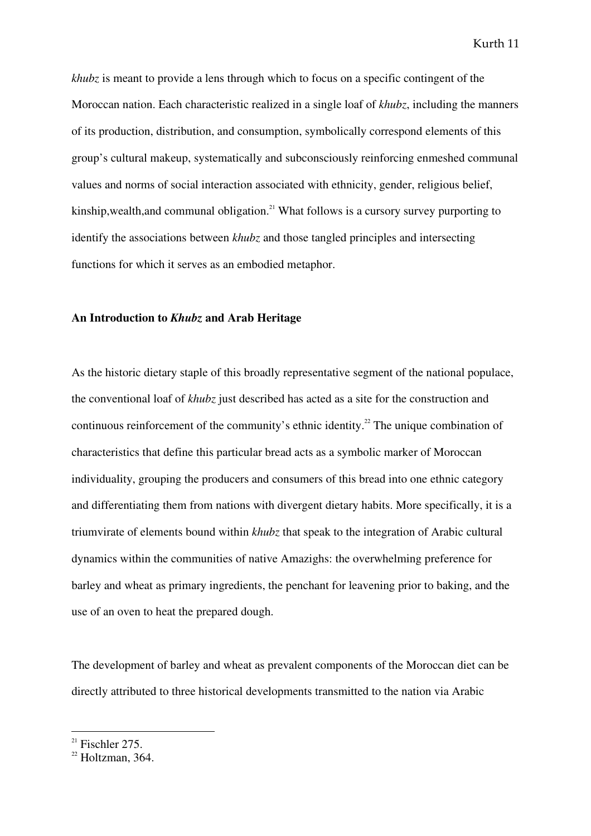*khubz* is meant to provide a lens through which to focus on a specific contingent of the Moroccan nation. Each characteristic realized in a single loaf of *khubz*, including the manners of its production, distribution, and consumption, symbolically correspond elements of this group's cultural makeup, systematically and subconsciously reinforcing enmeshed communal values and norms of social interaction associated with ethnicity, gender, religious belief, kinship, wealth, and communal obligation.<sup>21</sup> What follows is a cursory survey purporting to identify the associations between *khubz* and those tangled principles and intersecting functions for which it serves as an embodied metaphor.

#### **An Introduction to** *Khubz* **and Arab Heritage**

As the historic dietary staple of this broadly representative segment of the national populace, the conventional loaf of *khubz* just described has acted as a site for the construction and continuous reinforcement of the community's ethnic identity.<sup>22</sup> The unique combination of characteristics that define this particular bread acts as a symbolic marker of Moroccan individuality, grouping the producers and consumers of this bread into one ethnic category and differentiating them from nations with divergent dietary habits. More specifically, it is a triumvirate of elements bound within *khubz* that speak to the integration of Arabic cultural dynamics within the communities of native Amazighs: the overwhelming preference for barley and wheat as primary ingredients, the penchant for leavening prior to baking, and the use of an oven to heat the prepared dough.

The development of barley and wheat as prevalent components of the Moroccan diet can be directly attributed to three historical developments transmitted to the nation via Arabic

 $21$  Fischler 275.

 $22$  Holtzman, 364.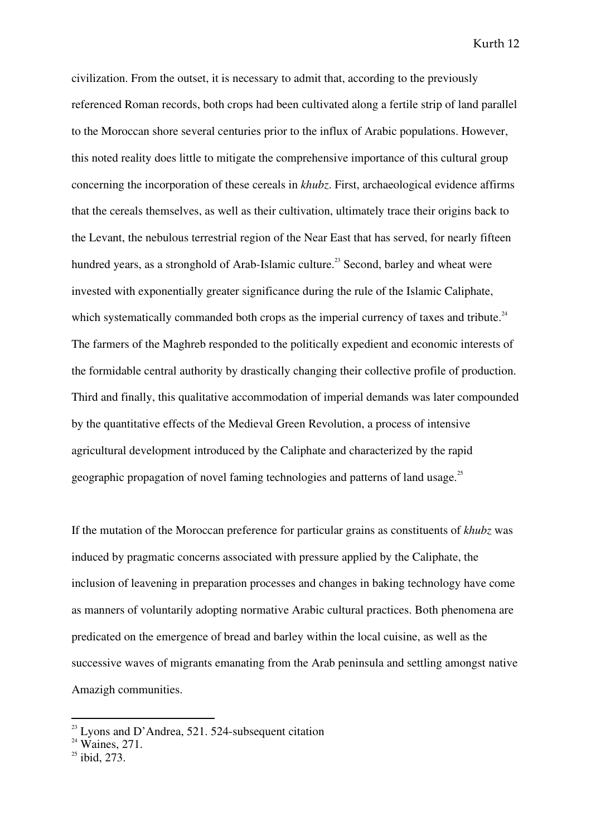civilization. From the outset, it is necessary to admit that, according to the previously referenced Roman records, both crops had been cultivated along a fertile strip of land parallel to the Moroccan shore several centuries prior to the influx of Arabic populations. However, this noted reality does little to mitigate the comprehensive importance of this cultural group concerning the incorporation of these cereals in *khubz*. First, archaeological evidence affirms that the cereals themselves, as well as their cultivation, ultimately trace their origins back to the Levant, the nebulous terrestrial region of the Near East that has served, for nearly fifteen hundred years, as a stronghold of Arab-Islamic culture.<sup>23</sup> Second, barley and wheat were invested with exponentially greater significance during the rule of the Islamic Caliphate, which systematically commanded both crops as the imperial currency of taxes and tribute.<sup>24</sup> The farmers of the Maghreb responded to the politically expedient and economic interests of the formidable central authority by drastically changing their collective profile of production. Third and finally, this qualitative accommodation of imperial demands was later compounded by the quantitative effects of the Medieval Green Revolution, a process of intensive agricultural development introduced by the Caliphate and characterized by the rapid geographic propagation of novel faming technologies and patterns of land usage.<sup>25</sup>

If the mutation of the Moroccan preference for particular grains as constituents of *khubz* was induced by pragmatic concerns associated with pressure applied by the Caliphate, the inclusion of leavening in preparation processes and changes in baking technology have come as manners of voluntarily adopting normative Arabic cultural practices. Both phenomena are predicated on the emergence of bread and barley within the local cuisine, as well as the successive waves of migrants emanating from the Arab peninsula and settling amongst native Amazigh communities.

 $^{23}$  Lyons and D'Andrea, 521. 524-subsequent citation

 $24$  Waines, 271.

 $^{25}$  ibid, 273.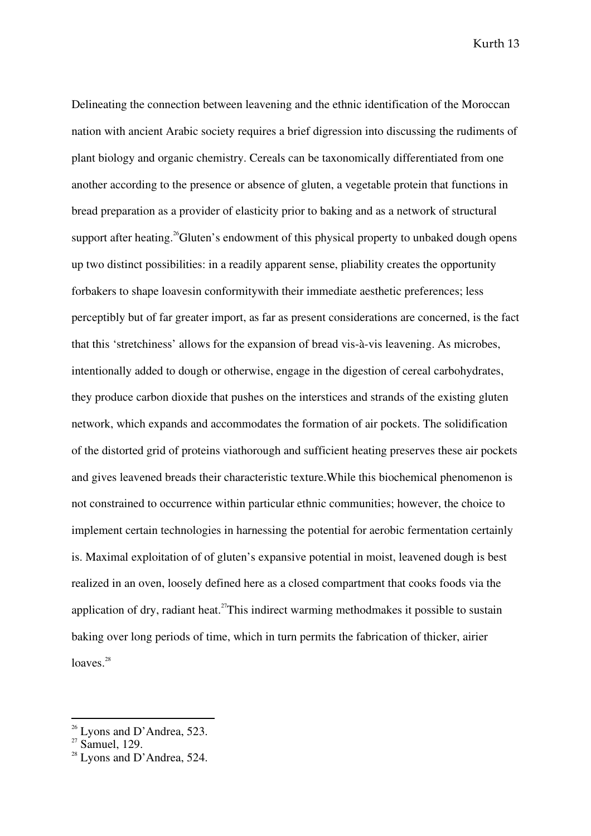Delineating the connection between leavening and the ethnic identification of the Moroccan nation with ancient Arabic society requires a brief digression into discussing the rudiments of plant biology and organic chemistry. Cereals can be taxonomically differentiated from one another according to the presence or absence of gluten, a vegetable protein that functions in bread preparation as a provider of elasticity prior to baking and as a network of structural support after heating.<sup>26</sup>Gluten's endowment of this physical property to unbaked dough opens up two distinct possibilities: in a readily apparent sense, pliability creates the opportunity forbakers to shape loavesin conformitywith their immediate aesthetic preferences; less perceptibly but of far greater import, as far as present considerations are concerned, is the fact that this 'stretchiness' allows for the expansion of bread vis-à-vis leavening. As microbes, intentionally added to dough or otherwise, engage in the digestion of cereal carbohydrates, they produce carbon dioxide that pushes on the interstices and strands of the existing gluten network, which expands and accommodates the formation of air pockets. The solidification of the distorted grid of proteins viathorough and sufficient heating preserves these air pockets and gives leavened breads their characteristic texture.While this biochemical phenomenon is not constrained to occurrence within particular ethnic communities; however, the choice to implement certain technologies in harnessing the potential for aerobic fermentation certainly is. Maximal exploitation of of gluten's expansive potential in moist, leavened dough is best realized in an oven, loosely defined here as a closed compartment that cooks foods via the application of dry, radiant heat.<sup>27</sup>This indirect warming methodmakes it possible to sustain baking over long periods of time, which in turn permits the fabrication of thicker, airier  $loaves.<sup>28</sup>$ 

 $26$  Lyons and D'Andrea, 523.

 $27$  Samuel, 129.

 $28$  Lyons and D'Andrea, 524.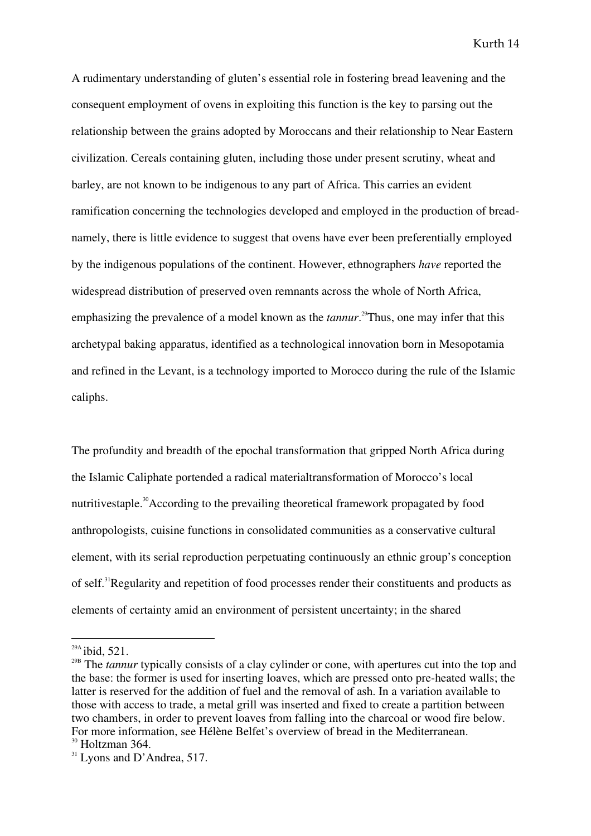A rudimentary understanding of gluten's essential role in fostering bread leavening and the consequent employment of ovens in exploiting this function is the key to parsing out the relationship between the grains adopted by Moroccans and their relationship to Near Eastern civilization. Cereals containing gluten, including those under present scrutiny, wheat and barley, are not known to be indigenous to any part of Africa. This carries an evident ramification concerning the technologies developed and employed in the production of breadnamely, there is little evidence to suggest that ovens have ever been preferentially employed by the indigenous populations of the continent. However, ethnographers *have* reported the widespread distribution of preserved oven remnants across the whole of North Africa, emphasizing the prevalence of a model known as the *tannur*.<sup>29</sup>Thus, one may infer that this archetypal baking apparatus, identified as a technological innovation born in Mesopotamia and refined in the Levant, is a technology imported to Morocco during the rule of the Islamic caliphs.

The profundity and breadth of the epochal transformation that gripped North Africa during the Islamic Caliphate portended a radical materialtransformation of Morocco's local nutritivestaple.<sup>30</sup>According to the prevailing theoretical framework propagated by food anthropologists, cuisine functions in consolidated communities as a conservative cultural element, with its serial reproduction perpetuating continuously an ethnic group's conception of self.<sup>31</sup>Regularity and repetition of food processes render their constituents and products as elements of certainty amid an environment of persistent uncertainty; in the shared

 $^{29A}$  ibid, 521.

<sup>&</sup>lt;sup>29B</sup> The *tannur* typically consists of a clay cylinder or cone, with apertures cut into the top and the base: the former is used for inserting loaves, which are pressed onto pre-heated walls; the latter is reserved for the addition of fuel and the removal of ash. In a variation available to those with access to trade, a metal grill was inserted and fixed to create a partition between two chambers, in order to prevent loaves from falling into the charcoal or wood fire below. For more information, see Hélène Belfet's overview of bread in the Mediterranean. <sup>30</sup> Holtzman 364.

 $31$  Lyons and D'Andrea, 517.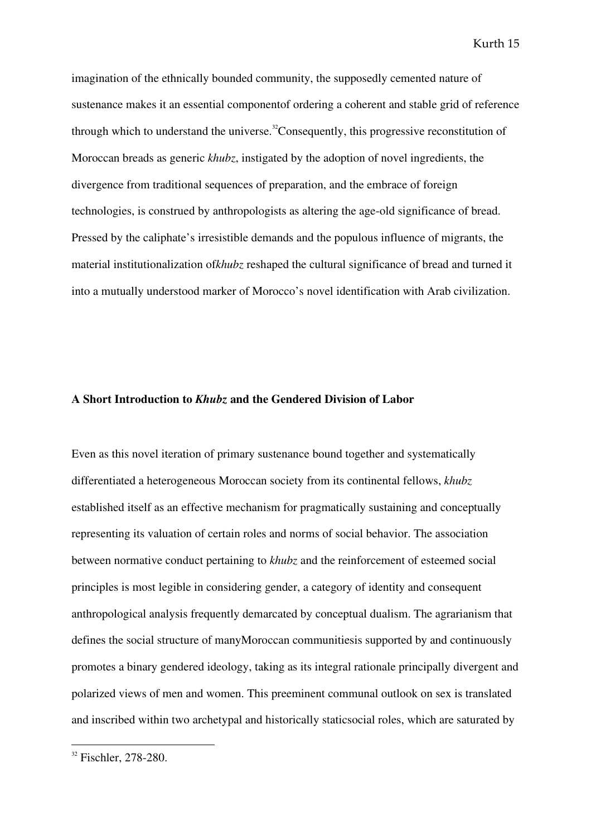imagination of the ethnically bounded community, the supposedly cemented nature of sustenance makes it an essential componentof ordering a coherent and stable grid of reference through which to understand the universe.<sup>32</sup>Consequently, this progressive reconstitution of Moroccan breads as generic *khubz*, instigated by the adoption of novel ingredients, the divergence from traditional sequences of preparation, and the embrace of foreign technologies, is construed by anthropologists as altering the age-old significance of bread. Pressed by the caliphate's irresistible demands and the populous influence of migrants, the material institutionalization of*khubz* reshaped the cultural significance of bread and turned it into a mutually understood marker of Morocco's novel identification with Arab civilization.

# **A Short Introduction to** *Khubz* **and the Gendered Division of Labor**

Even as this novel iteration of primary sustenance bound together and systematically differentiated a heterogeneous Moroccan society from its continental fellows, *khubz* established itself as an effective mechanism for pragmatically sustaining and conceptually representing its valuation of certain roles and norms of social behavior. The association between normative conduct pertaining to *khubz* and the reinforcement of esteemed social principles is most legible in considering gender, a category of identity and consequent anthropological analysis frequently demarcated by conceptual dualism. The agrarianism that defines the social structure of manyMoroccan communitiesis supported by and continuously promotes a binary gendered ideology, taking as its integral rationale principally divergent and polarized views of men and women. This preeminent communal outlook on sex is translated and inscribed within two archetypal and historically staticsocial roles, which are saturated by

<sup>&</sup>lt;sup>32</sup> Fischler, 278-280.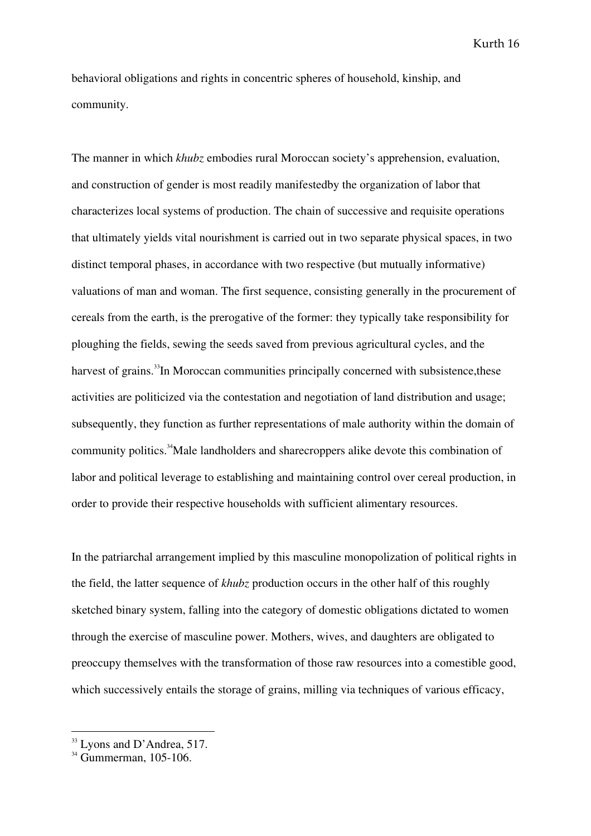behavioral obligations and rights in concentric spheres of household, kinship, and community.

The manner in which *khubz* embodies rural Moroccan society's apprehension, evaluation, and construction of gender is most readily manifestedby the organization of labor that characterizes local systems of production. The chain of successive and requisite operations that ultimately yields vital nourishment is carried out in two separate physical spaces, in two distinct temporal phases, in accordance with two respective (but mutually informative) valuations of man and woman. The first sequence, consisting generally in the procurement of cereals from the earth, is the prerogative of the former: they typically take responsibility for ploughing the fields, sewing the seeds saved from previous agricultural cycles, and the harvest of grains.<sup>33</sup>In Moroccan communities principally concerned with subsistence, these activities are politicized via the contestation and negotiation of land distribution and usage; subsequently, they function as further representations of male authority within the domain of community politics.<sup>34</sup>Male landholders and sharecroppers alike devote this combination of labor and political leverage to establishing and maintaining control over cereal production, in order to provide their respective households with sufficient alimentary resources.

In the patriarchal arrangement implied by this masculine monopolization of political rights in the field, the latter sequence of *khubz* production occurs in the other half of this roughly sketched binary system, falling into the category of domestic obligations dictated to women through the exercise of masculine power. Mothers, wives, and daughters are obligated to preoccupy themselves with the transformation of those raw resources into a comestible good, which successively entails the storage of grains, milling via techniques of various efficacy,

<sup>&</sup>lt;sup>33</sup> Lyons and D'Andrea, 517.

 $34$  Gummerman, 105-106.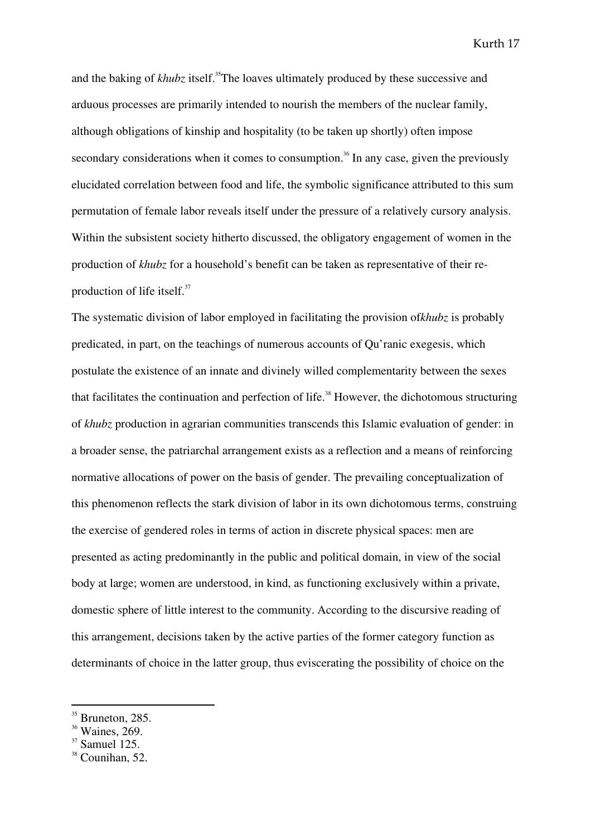and the baking of *khubz* itself.<sup>35</sup>The loaves ultimately produced by these successive and arduous processes are primarily intended to nourish the members of the nuclear family, although obligations of kinship and hospitality (to be taken up shortly) often impose secondary considerations when it comes to consumption.<sup>36</sup> In any case, given the previously elucidated correlation between food and life, the symbolic significance attributed to this sum permutation of female labor reveals itself under the pressure of a relatively cursory analysis. Within the subsistent society hitherto discussed, the obligatory engagement of women in the production of *khubz* for a household's benefit can be taken as representative of their reproduction of life itself. $37$ 

The systematic division of labor employed in facilitating the provision of*khubz* is probably predicated, in part, on the teachings of numerous accounts of Qu'ranic exegesis, which postulate the existence of an innate and divinely willed complementarity between the sexes that facilitates the continuation and perfection of life.<sup>38</sup> However, the dichotomous structuring of *khubz* production in agrarian communities transcends this Islamic evaluation of gender: in a broader sense, the patriarchal arrangement exists as a reflection and a means of reinforcing normative allocations of power on the basis of gender. The prevailing conceptualization of this phenomenon reflects the stark division of labor in its own dichotomous terms, construing the exercise of gendered roles in terms of action in discrete physical spaces: men are presented as acting predominantly in the public and political domain, in view of the social body at large; women are understood, in kind, as functioning exclusively within a private, domestic sphere of little interest to the community. According to the discursive reading of this arrangement, decisions taken by the active parties of the former category function as determinants of choice in the latter group, thus eviscerating the possibility of choice on the

 $35$  Bruneton, 285.

<sup>&</sup>lt;sup>36</sup> Waines, 269.

 $37$  Samuel 125.

 $38$  Counihan, 52.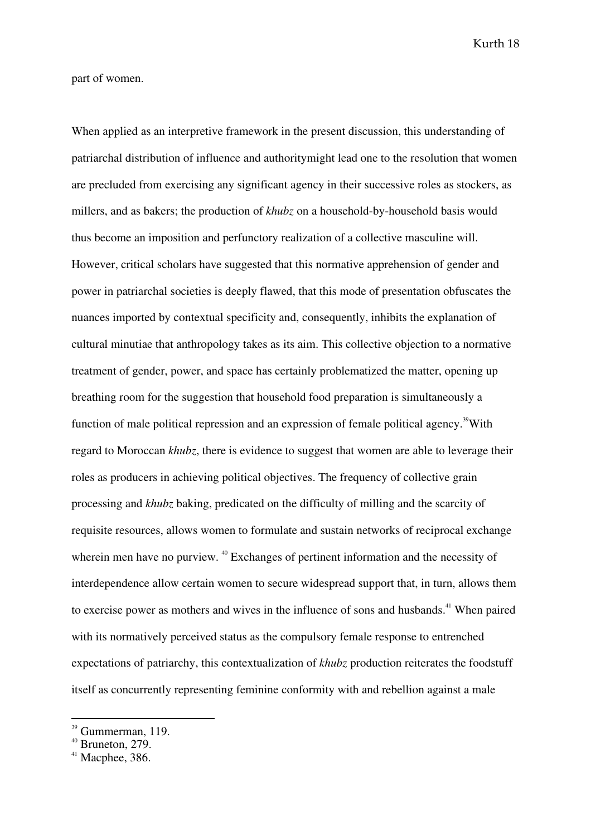part of women.

When applied as an interpretive framework in the present discussion, this understanding of patriarchal distribution of influence and authoritymight lead one to the resolution that women are precluded from exercising any significant agency in their successive roles as stockers, as millers, and as bakers; the production of *khubz* on a household-by-household basis would thus become an imposition and perfunctory realization of a collective masculine will. However, critical scholars have suggested that this normative apprehension of gender and power in patriarchal societies is deeply flawed, that this mode of presentation obfuscates the nuances imported by contextual specificity and, consequently, inhibits the explanation of cultural minutiae that anthropology takes as its aim. This collective objection to a normative treatment of gender, power, and space has certainly problematized the matter, opening up breathing room for the suggestion that household food preparation is simultaneously a function of male political repression and an expression of female political agency.<sup>39</sup>With regard to Moroccan *khubz*, there is evidence to suggest that women are able to leverage their roles as producers in achieving political objectives. The frequency of collective grain processing and *khubz* baking, predicated on the difficulty of milling and the scarcity of requisite resources, allows women to formulate and sustain networks of reciprocal exchange wherein men have no purview. <sup>40</sup> Exchanges of pertinent information and the necessity of interdependence allow certain women to secure widespread support that, in turn, allows them to exercise power as mothers and wives in the influence of sons and husbands.<sup>41</sup> When paired with its normatively perceived status as the compulsory female response to entrenched expectations of patriarchy, this contextualization of *khubz* production reiterates the foodstuff itself as concurrently representing feminine conformity with and rebellion against a male

 $39$  Gummerman, 119.

 $40$  Bruneton, 279.

 $41$  Macphee, 386.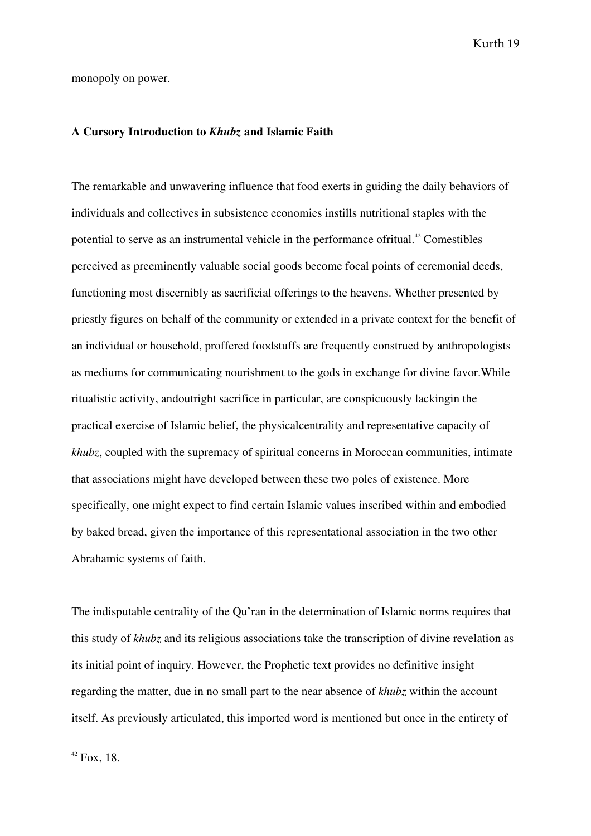monopoly on power.

#### **A Cursory Introduction to** *Khubz* **and Islamic Faith**

The remarkable and unwavering influence that food exerts in guiding the daily behaviors of individuals and collectives in subsistence economies instills nutritional staples with the potential to serve as an instrumental vehicle in the performance of ritual.<sup>42</sup> Comestibles perceived as preeminently valuable social goods become focal points of ceremonial deeds, functioning most discernibly as sacrificial offerings to the heavens. Whether presented by priestly figures on behalf of the community or extended in a private context for the benefit of an individual or household, proffered foodstuffs are frequently construed by anthropologists as mediums for communicating nourishment to the gods in exchange for divine favor.While ritualistic activity, andoutright sacrifice in particular, are conspicuously lackingin the practical exercise of Islamic belief, the physicalcentrality and representative capacity of *khubz*, coupled with the supremacy of spiritual concerns in Moroccan communities, intimate that associations might have developed between these two poles of existence. More specifically, one might expect to find certain Islamic values inscribed within and embodied by baked bread, given the importance of this representational association in the two other Abrahamic systems of faith.

The indisputable centrality of the Qu'ran in the determination of Islamic norms requires that this study of *khubz* and its religious associations take the transcription of divine revelation as its initial point of inquiry. However, the Prophetic text provides no definitive insight regarding the matter, due in no small part to the near absence of *khubz* within the account itself. As previously articulated, this imported word is mentioned but once in the entirety of

 $42$  Fox, 18.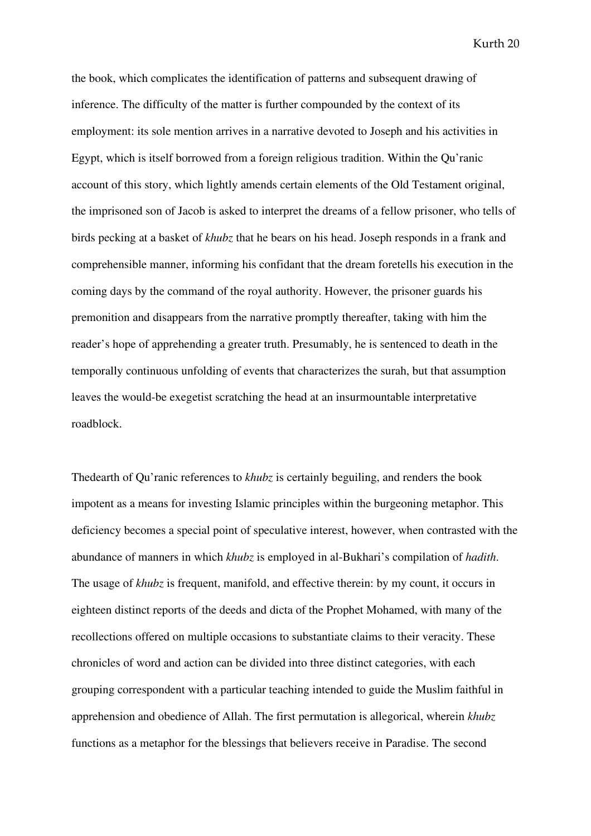the book, which complicates the identification of patterns and subsequent drawing of inference. The difficulty of the matter is further compounded by the context of its employment: its sole mention arrives in a narrative devoted to Joseph and his activities in Egypt, which is itself borrowed from a foreign religious tradition. Within the Qu'ranic account of this story, which lightly amends certain elements of the Old Testament original, the imprisoned son of Jacob is asked to interpret the dreams of a fellow prisoner, who tells of birds pecking at a basket of *khubz* that he bears on his head. Joseph responds in a frank and comprehensible manner, informing his confidant that the dream foretells his execution in the coming days by the command of the royal authority. However, the prisoner guards his premonition and disappears from the narrative promptly thereafter, taking with him the reader's hope of apprehending a greater truth. Presumably, he is sentenced to death in the temporally continuous unfolding of events that characterizes the surah, but that assumption leaves the would-be exegetist scratching the head at an insurmountable interpretative roadblock.

Thedearth of Qu'ranic references to *khubz* is certainly beguiling, and renders the book impotent as a means for investing Islamic principles within the burgeoning metaphor. This deficiency becomes a special point of speculative interest, however, when contrasted with the abundance of manners in which *khubz* is employed in al-Bukhari's compilation of *hadith*. The usage of *khubz* is frequent, manifold, and effective therein: by my count, it occurs in eighteen distinct reports of the deeds and dicta of the Prophet Mohamed, with many of the recollections offered on multiple occasions to substantiate claims to their veracity. These chronicles of word and action can be divided into three distinct categories, with each grouping correspondent with a particular teaching intended to guide the Muslim faithful in apprehension and obedience of Allah. The first permutation is allegorical, wherein *khubz* functions as a metaphor for the blessings that believers receive in Paradise. The second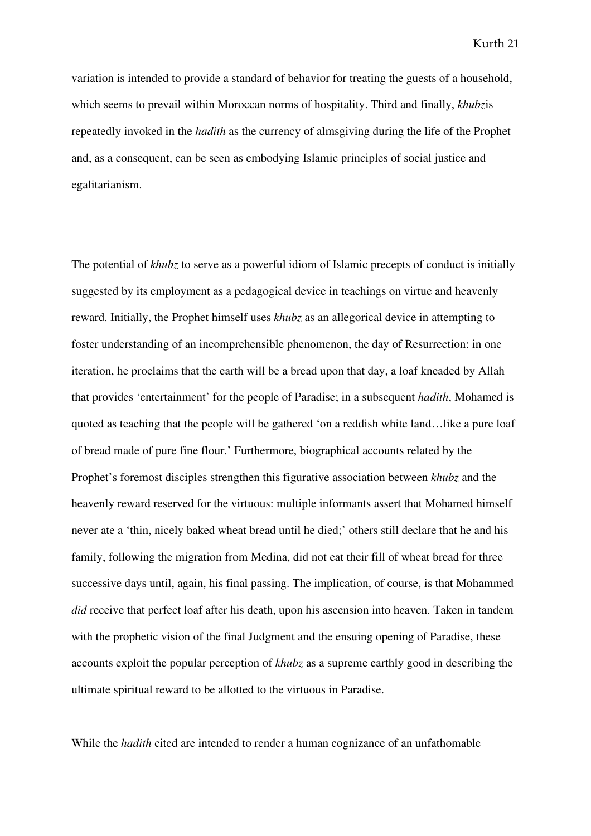variation is intended to provide a standard of behavior for treating the guests of a household, which seems to prevail within Moroccan norms of hospitality. Third and finally, *khubz*is repeatedly invoked in the *hadith* as the currency of almsgiving during the life of the Prophet and, as a consequent, can be seen as embodying Islamic principles of social justice and egalitarianism.

The potential of *khubz* to serve as a powerful idiom of Islamic precepts of conduct is initially suggested by its employment as a pedagogical device in teachings on virtue and heavenly reward. Initially, the Prophet himself uses *khubz* as an allegorical device in attempting to foster understanding of an incomprehensible phenomenon, the day of Resurrection: in one iteration, he proclaims that the earth will be a bread upon that day, a loaf kneaded by Allah that provides 'entertainment' for the people of Paradise; in a subsequent *hadith*, Mohamed is quoted as teaching that the people will be gathered 'on a reddish white land…like a pure loaf of bread made of pure fine flour.' Furthermore, biographical accounts related by the Prophet's foremost disciples strengthen this figurative association between *khubz* and the heavenly reward reserved for the virtuous: multiple informants assert that Mohamed himself never ate a 'thin, nicely baked wheat bread until he died;' others still declare that he and his family, following the migration from Medina, did not eat their fill of wheat bread for three successive days until, again, his final passing. The implication, of course, is that Mohammed *did* receive that perfect loaf after his death, upon his ascension into heaven. Taken in tandem with the prophetic vision of the final Judgment and the ensuing opening of Paradise, these accounts exploit the popular perception of *khubz* as a supreme earthly good in describing the ultimate spiritual reward to be allotted to the virtuous in Paradise.

While the *hadith* cited are intended to render a human cognizance of an unfathomable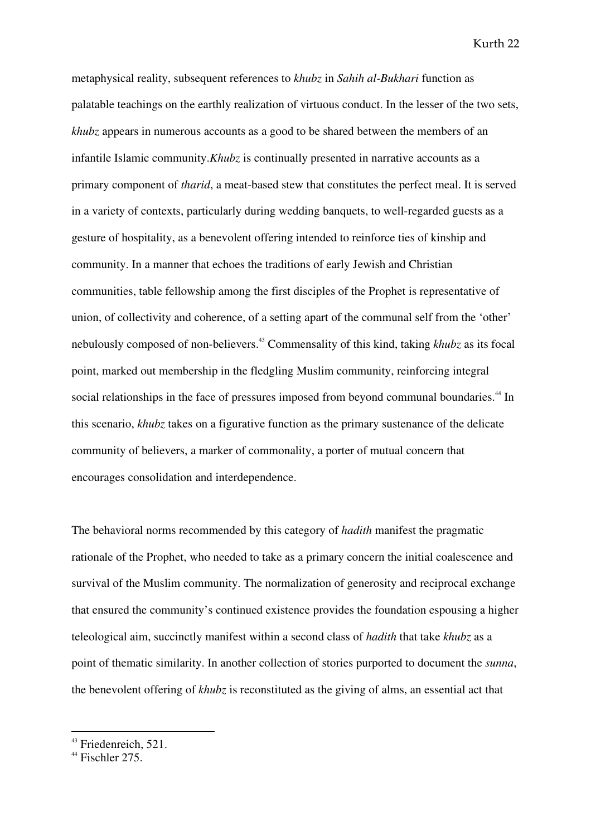metaphysical reality, subsequent references to *khubz* in *Sahih al-Bukhari* function as palatable teachings on the earthly realization of virtuous conduct. In the lesser of the two sets, *khubz* appears in numerous accounts as a good to be shared between the members of an infantile Islamic community.*Khubz* is continually presented in narrative accounts as a primary component of *tharid*, a meat-based stew that constitutes the perfect meal. It is served in a variety of contexts, particularly during wedding banquets, to well-regarded guests as a gesture of hospitality, as a benevolent offering intended to reinforce ties of kinship and community. In a manner that echoes the traditions of early Jewish and Christian communities, table fellowship among the first disciples of the Prophet is representative of union, of collectivity and coherence, of a setting apart of the communal self from the 'other' nebulously composed of non-believers.<sup>43</sup> Commensality of this kind, taking *khubz* as its focal point, marked out membership in the fledgling Muslim community, reinforcing integral social relationships in the face of pressures imposed from beyond communal boundaries.<sup>44</sup> In this scenario, *khubz* takes on a figurative function as the primary sustenance of the delicate community of believers, a marker of commonality, a porter of mutual concern that encourages consolidation and interdependence.

The behavioral norms recommended by this category of *hadith* manifest the pragmatic rationale of the Prophet, who needed to take as a primary concern the initial coalescence and survival of the Muslim community. The normalization of generosity and reciprocal exchange that ensured the community's continued existence provides the foundation espousing a higher teleological aim, succinctly manifest within a second class of *hadith* that take *khubz* as a point of thematic similarity. In another collection of stories purported to document the *sunna*, the benevolent offering of *khubz* is reconstituted as the giving of alms, an essential act that

<sup>&</sup>lt;sup>43</sup> Friedenreich, 521.

 $44$  Fischler  $275$ .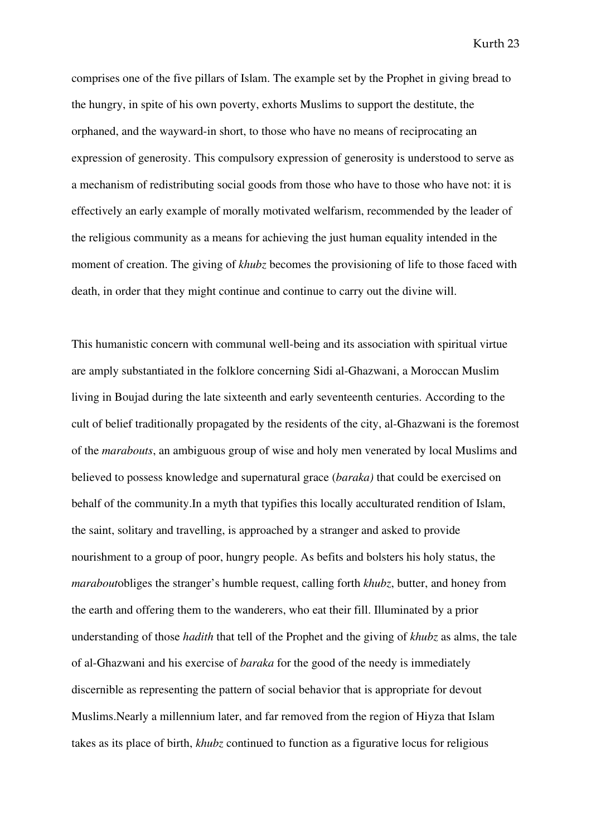comprises one of the five pillars of Islam. The example set by the Prophet in giving bread to the hungry, in spite of his own poverty, exhorts Muslims to support the destitute, the orphaned, and the wayward-in short, to those who have no means of reciprocating an expression of generosity. This compulsory expression of generosity is understood to serve as a mechanism of redistributing social goods from those who have to those who have not: it is effectively an early example of morally motivated welfarism, recommended by the leader of the religious community as a means for achieving the just human equality intended in the moment of creation. The giving of *khubz* becomes the provisioning of life to those faced with death, in order that they might continue and continue to carry out the divine will.

This humanistic concern with communal well-being and its association with spiritual virtue are amply substantiated in the folklore concerning Sidi al-Ghazwani, a Moroccan Muslim living in Boujad during the late sixteenth and early seventeenth centuries. According to the cult of belief traditionally propagated by the residents of the city, al-Ghazwani is the foremost of the *marabouts*, an ambiguous group of wise and holy men venerated by local Muslims and believed to possess knowledge and supernatural grace (*baraka)* that could be exercised on behalf of the community.In a myth that typifies this locally acculturated rendition of Islam, the saint, solitary and travelling, is approached by a stranger and asked to provide nourishment to a group of poor, hungry people. As befits and bolsters his holy status, the *marabout*obliges the stranger's humble request, calling forth *khubz*, butter, and honey from the earth and offering them to the wanderers, who eat their fill. Illuminated by a prior understanding of those *hadith* that tell of the Prophet and the giving of *khubz* as alms, the tale of al-Ghazwani and his exercise of *baraka* for the good of the needy is immediately discernible as representing the pattern of social behavior that is appropriate for devout Muslims.Nearly a millennium later, and far removed from the region of Hiyza that Islam takes as its place of birth, *khubz* continued to function as a figurative locus for religious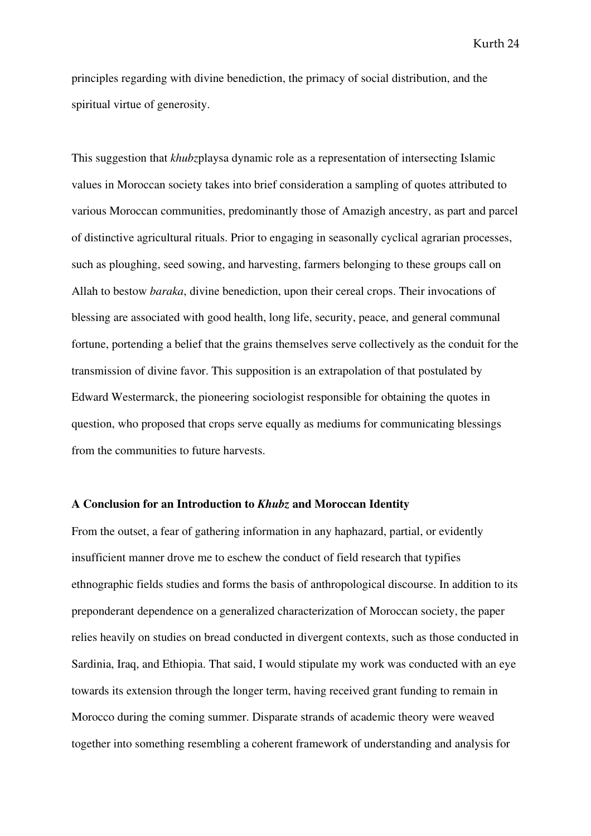principles regarding with divine benediction, the primacy of social distribution, and the spiritual virtue of generosity.

This suggestion that *khubz*playsa dynamic role as a representation of intersecting Islamic values in Moroccan society takes into brief consideration a sampling of quotes attributed to various Moroccan communities, predominantly those of Amazigh ancestry, as part and parcel of distinctive agricultural rituals. Prior to engaging in seasonally cyclical agrarian processes, such as ploughing, seed sowing, and harvesting, farmers belonging to these groups call on Allah to bestow *baraka*, divine benediction, upon their cereal crops. Their invocations of blessing are associated with good health, long life, security, peace, and general communal fortune, portending a belief that the grains themselves serve collectively as the conduit for the transmission of divine favor. This supposition is an extrapolation of that postulated by Edward Westermarck, the pioneering sociologist responsible for obtaining the quotes in question, who proposed that crops serve equally as mediums for communicating blessings from the communities to future harvests.

#### **A Conclusion for an Introduction to** *Khubz* **and Moroccan Identity**

From the outset, a fear of gathering information in any haphazard, partial, or evidently insufficient manner drove me to eschew the conduct of field research that typifies ethnographic fields studies and forms the basis of anthropological discourse. In addition to its preponderant dependence on a generalized characterization of Moroccan society, the paper relies heavily on studies on bread conducted in divergent contexts, such as those conducted in Sardinia, Iraq, and Ethiopia. That said, I would stipulate my work was conducted with an eye towards its extension through the longer term, having received grant funding to remain in Morocco during the coming summer. Disparate strands of academic theory were weaved together into something resembling a coherent framework of understanding and analysis for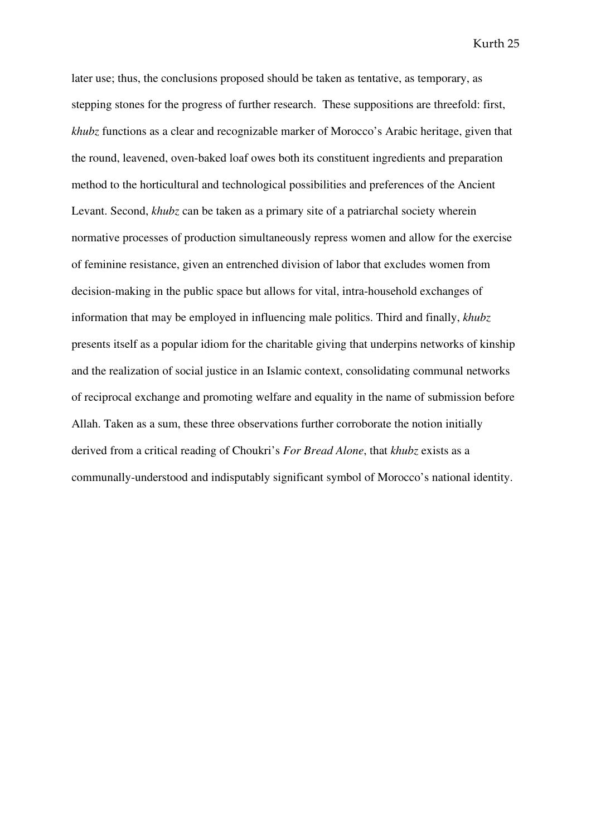later use; thus, the conclusions proposed should be taken as tentative, as temporary, as stepping stones for the progress of further research. These suppositions are threefold: first, *khubz* functions as a clear and recognizable marker of Morocco's Arabic heritage, given that the round, leavened, oven-baked loaf owes both its constituent ingredients and preparation method to the horticultural and technological possibilities and preferences of the Ancient Levant. Second, *khubz* can be taken as a primary site of a patriarchal society wherein normative processes of production simultaneously repress women and allow for the exercise of feminine resistance, given an entrenched division of labor that excludes women from decision-making in the public space but allows for vital, intra-household exchanges of information that may be employed in influencing male politics. Third and finally, *khubz* presents itself as a popular idiom for the charitable giving that underpins networks of kinship and the realization of social justice in an Islamic context, consolidating communal networks of reciprocal exchange and promoting welfare and equality in the name of submission before Allah. Taken as a sum, these three observations further corroborate the notion initially derived from a critical reading of Choukri's *For Bread Alone*, that *khubz* exists as a communally-understood and indisputably significant symbol of Morocco's national identity.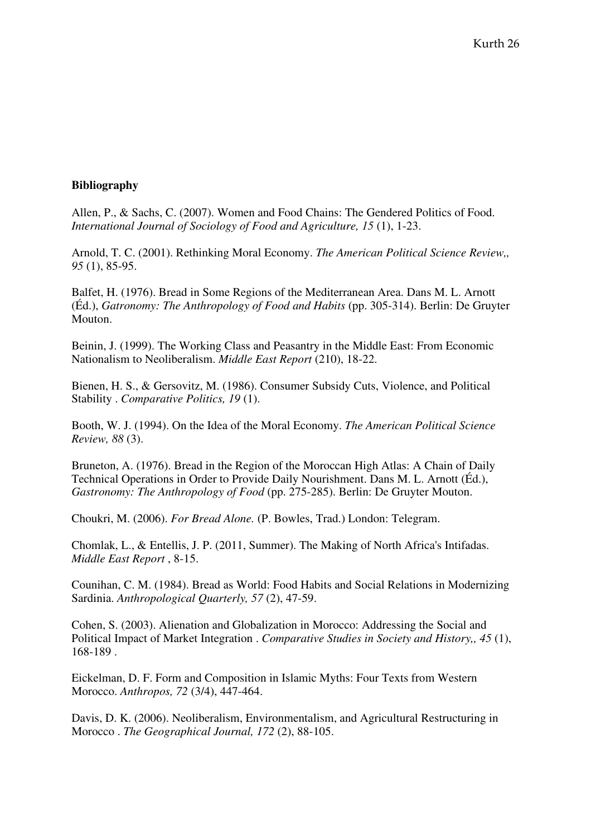# **Bibliography**

Allen, P., & Sachs, C. (2007). Women and Food Chains: The Gendered Politics of Food. *International Journal of Sociology of Food and Agriculture, 15* (1), 1-23.

Arnold, T. C. (2001). Rethinking Moral Economy. *The American Political Science Review,, 95* (1), 85-95.

Balfet, H. (1976). Bread in Some Regions of the Mediterranean Area. Dans M. L. Arnott (Éd.), *Gatronomy: The Anthropology of Food and Habits* (pp. 305-314). Berlin: De Gruyter Mouton.

Beinin, J. (1999). The Working Class and Peasantry in the Middle East: From Economic Nationalism to Neoliberalism. *Middle East Report* (210), 18-22.

Bienen, H. S., & Gersovitz, M. (1986). Consumer Subsidy Cuts, Violence, and Political Stability . *Comparative Politics, 19* (1).

Booth, W. J. (1994). On the Idea of the Moral Economy. *The American Political Science Review, 88* (3).

Bruneton, A. (1976). Bread in the Region of the Moroccan High Atlas: A Chain of Daily Technical Operations in Order to Provide Daily Nourishment. Dans M. L. Arnott (Éd.), *Gastronomy: The Anthropology of Food* (pp. 275-285). Berlin: De Gruyter Mouton.

Choukri, M. (2006). *For Bread Alone.* (P. Bowles, Trad.) London: Telegram.

Chomlak, L., & Entellis, J. P. (2011, Summer). The Making of North Africa's Intifadas. *Middle East Report* , 8-15.

Counihan, C. M. (1984). Bread as World: Food Habits and Social Relations in Modernizing Sardinia. *Anthropological Quarterly, 57* (2), 47-59.

Cohen, S. (2003). Alienation and Globalization in Morocco: Addressing the Social and Political Impact of Market Integration . *Comparative Studies in Society and History,, 45* (1), 168-189 .

Eickelman, D. F. Form and Composition in Islamic Myths: Four Texts from Western Morocco. *Anthropos, 72* (3/4), 447-464.

Davis, D. K. (2006). Neoliberalism, Environmentalism, and Agricultural Restructuring in Morocco . *The Geographical Journal, 172* (2), 88-105.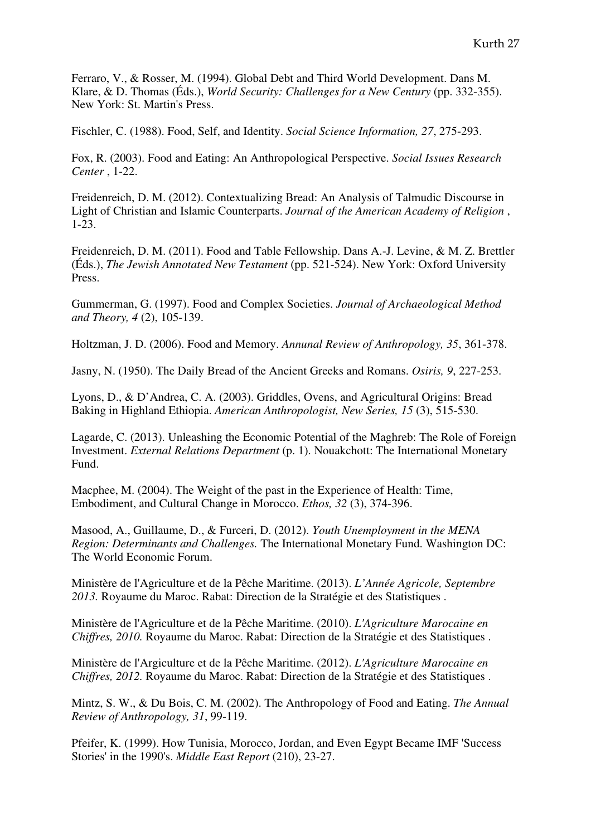Ferraro, V., & Rosser, M. (1994). Global Debt and Third World Development. Dans M. Klare, & D. Thomas (Éds.), *World Security: Challenges for a New Century* (pp. 332-355). New York: St. Martin's Press.

Fischler, C. (1988). Food, Self, and Identity. *Social Science Information, 27*, 275-293.

Fox, R. (2003). Food and Eating: An Anthropological Perspective. *Social Issues Research Center* , 1-22.

Freidenreich, D. M. (2012). Contextualizing Bread: An Analysis of Talmudic Discourse in Light of Christian and Islamic Counterparts. *Journal of the American Academy of Religion* , 1-23.

Freidenreich, D. M. (2011). Food and Table Fellowship. Dans A.-J. Levine, & M. Z. Brettler (Éds.), *The Jewish Annotated New Testament* (pp. 521-524). New York: Oxford University Press.

Gummerman, G. (1997). Food and Complex Societies. *Journal of Archaeological Method and Theory, 4* (2), 105-139.

Holtzman, J. D. (2006). Food and Memory. *Annunal Review of Anthropology, 35*, 361-378.

Jasny, N. (1950). The Daily Bread of the Ancient Greeks and Romans. *Osiris, 9*, 227-253.

Lyons, D., & D'Andrea, C. A. (2003). Griddles, Ovens, and Agricultural Origins: Bread Baking in Highland Ethiopia. *American Anthropologist, New Series, 15* (3), 515-530.

Lagarde, C. (2013). Unleashing the Economic Potential of the Maghreb: The Role of Foreign Investment. *External Relations Department* (p. 1). Nouakchott: The International Monetary Fund.

Macphee, M. (2004). The Weight of the past in the Experience of Health: Time, Embodiment, and Cultural Change in Morocco. *Ethos, 32* (3), 374-396.

Masood, A., Guillaume, D., & Furceri, D. (2012). *Youth Unemployment in the MENA Region: Determinants and Challenges.* The International Monetary Fund. Washington DC: The World Economic Forum.

Ministère de l'Agriculture et de la Pêche Maritime. (2013). *L'Année Agricole, Septembre 2013.* Royaume du Maroc. Rabat: Direction de la Stratégie et des Statistiques .

Ministère de l'Agriculture et de la Pêche Maritime. (2010). *L'Agriculture Marocaine en Chiffres, 2010.* Royaume du Maroc. Rabat: Direction de la Stratégie et des Statistiques .

Ministère de l'Argiculture et de la Pêche Maritime. (2012). *L'Agriculture Marocaine en Chiffres, 2012.* Royaume du Maroc. Rabat: Direction de la Stratégie et des Statistiques .

Mintz, S. W., & Du Bois, C. M. (2002). The Anthropology of Food and Eating. *The Annual Review of Anthropology, 31*, 99-119.

Pfeifer, K. (1999). How Tunisia, Morocco, Jordan, and Even Egypt Became IMF 'Success Stories' in the 1990's. *Middle East Report* (210), 23-27.